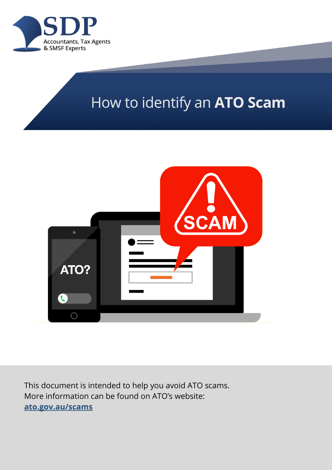

# How to identify an ATO Scam



This document is intended to help you avoid ATO scams. More information can be found on ATO's website: **[ato.gov.au/scams](https://ato.gov.au/scams)**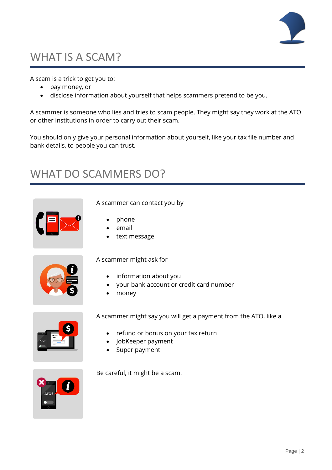

## WHAT IS A SCAM?

A scam is a trick to get you to:

- pay money, or
- disclose information about yourself that helps scammers pretend to be you.

A scammer is someone who lies and tries to scam people. They might say they work at the ATO or other institutions in order to carry out their scam.

You should only give your personal information about yourself, like your tax file number and bank details, to people you can trust.

#### WHAT DO SCAMMERS DO?



A scammer can contact you by

- phone
- email
- text message



A scammer might ask for

- information about you
- your bank account or credit card number
- money



A scammer might say you will get a payment from the ATO, like a

- refund or bonus on your tax return
- JobKeeper payment
- Super payment



Be careful, it might be a scam.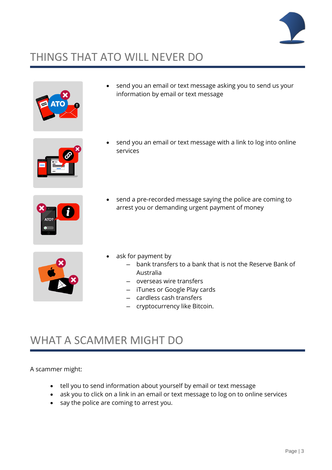

## THINGS THAT ATO WILL NEVER DO



send you an email or text message asking you to send us your information by email or text message



send you an email or text message with a link to log into online services



send a pre-recorded message saying the police are coming to arrest you or demanding urgent payment of money



- ask for payment by
	- ─ bank transfers to a bank that is not the Reserve Bank of Australia
	- ─ overseas wire transfers
	- ─ iTunes or Google Play cards
	- ─ cardless cash transfers
	- ─ cryptocurrency like Bitcoin.

#### WHAT A SCAMMER MIGHT DO

A scammer might:

- tell you to send information about yourself by email or text message
- ask you to click on a link in an email or text message to log on to online services
- say the police are coming to arrest you.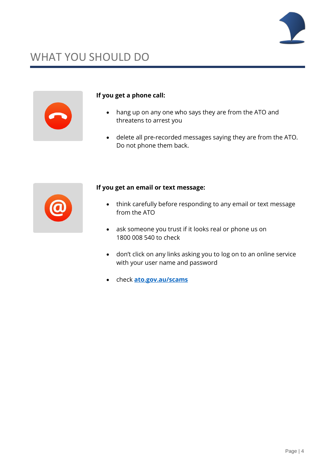

## WHAT YOU SHOULD DO



#### **If you get a phone call:**

- hang up on any one who says they are from the ATO and threatens to arrest you
- delete all pre-recorded messages saying they are from the ATO. Do not phone them back.



#### **If you get an email or text message:**

- think carefully before responding to any email or text message from the ATO
- ask someone you trust if it looks real or phone us on 1800 008 540 to check
- don't click on any links asking you to log on to an online service with your user name and password
- check **[ato.gov.au/scams](https://ato.gov.au/scams)**